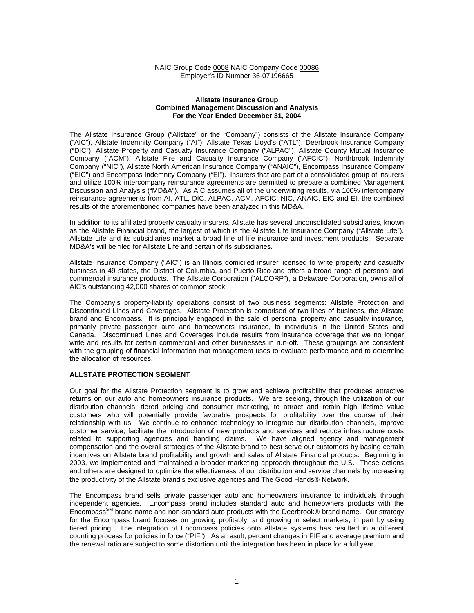### NAIC Group Code 0008 NAIC Company Code 00086 Employer's ID Number 36-07196665

#### **Allstate Insurance Group Combined Management Discussion and Analysis For the Year Ended December 31, 2004**

The Allstate Insurance Group ("Allstate" or the "Company") consists of the Allstate Insurance Company ("AIC"), Allstate Indemnity Company ("AI"), Allstate Texas Lloyd's ("ATL"), Deerbrook Insurance Company ("DIC"), Allstate Property and Casualty Insurance Company ("ALPAC"), Allstate County Mutual Insurance Company ("ACM"), Allstate Fire and Casualty Insurance Company ("AFCIC"), Northbrook Indemnity Company ("NIC"), Allstate North American Insurance Company ("ANAIC"), Encompass Insurance Company ("EIC") and Encompass Indemnity Company ("EI"). Insurers that are part of a consolidated group of insurers and utilize 100% intercompany reinsurance agreements are permitted to prepare a combined Management Discussion and Analysis ("MD&A"). As AIC assumes all of the underwriting results, via 100% intercompany reinsurance agreements from AI, ATL, DIC, ALPAC, ACM, AFCIC, NIC, ANAIC, EIC and EI, the combined results of the aforementioned companies have been analyzed in this MD&A.

In addition to its affiliated property casualty insurers, Allstate has several unconsolidated subsidiaries, known as the Allstate Financial brand, the largest of which is the Allstate Life Insurance Company ("Allstate Life"). Allstate Life and its subsidiaries market a broad line of life insurance and investment products. Separate MD&A's will be filed for Allstate Life and certain of its subsidiaries.

Allstate Insurance Company ("AIC") is an Illinois domiciled insurer licensed to write property and casualty business in 49 states, the District of Columbia, and Puerto Rico and offers a broad range of personal and commercial insurance products. The Allstate Corporation ("ALCORP"), a Delaware Corporation, owns all of AIC's outstanding 42,000 shares of common stock.

The Company's property-liability operations consist of two business segments: Allstate Protection and Discontinued Lines and Coverages. Allstate Protection is comprised of two lines of business, the Allstate brand and Encompass. It is principally engaged in the sale of personal property and casualty insurance, primarily private passenger auto and homeowners insurance, to individuals in the United States and Canada. Discontinued Lines and Coverages include results from insurance coverage that we no longer write and results for certain commercial and other businesses in run-off. These groupings are consistent with the grouping of financial information that management uses to evaluate performance and to determine the allocation of resources.

# **ALLSTATE PROTECTION SEGMENT**

Our goal for the Allstate Protection segment is to grow and achieve profitability that produces attractive returns on our auto and homeowners insurance products. We are seeking, through the utilization of our distribution channels, tiered pricing and consumer marketing, to attract and retain high lifetime value customers who will potentially provide favorable prospects for profitability over the course of their relationship with us. We continue to enhance technology to integrate our distribution channels, improve customer service, facilitate the introduction of new products and services and reduce infrastructure costs related to supporting agencies and handling claims. We have aligned agency and management compensation and the overall strategies of the Allstate brand to best serve our customers by basing certain incentives on Allstate brand profitability and growth and sales of Allstate Financial products. Beginning in 2003, we implemented and maintained a broader marketing approach throughout the U.S. These actions and others are designed to optimize the effectiveness of our distribution and service channels by increasing the productivity of the Allstate brand's exclusive agencies and The Good Hands<sup>®</sup> Network.

The Encompass brand sells private passenger auto and homeowners insurance to individuals through independent agencies. Encompass brand includes standard auto and homeowners products with the Encompass<sup>SM</sup> brand name and non-standard auto products with the Deerbrook® brand name. Our strategy for the Encompass brand focuses on growing profitably, and growing in select markets, in part by using tiered pricing. The integration of Encompass policies onto Allstate systems has resulted in a different counting process for policies in force ("PIF"). As a result, percent changes in PIF and average premium and the renewal ratio are subject to some distortion until the integration has been in place for a full year.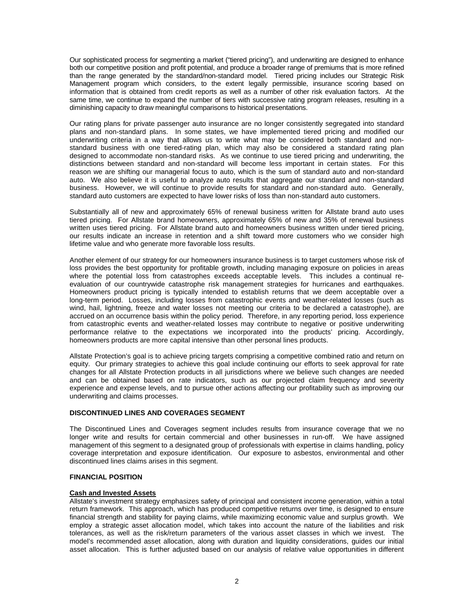Our sophisticated process for segmenting a market ("tiered pricing"), and underwriting are designed to enhance both our competitive position and profit potential, and produce a broader range of premiums that is more refined than the range generated by the standard/non-standard model. Tiered pricing includes our Strategic Risk Management program which considers, to the extent legally permissible, insurance scoring based on information that is obtained from credit reports as well as a number of other risk evaluation factors. At the same time, we continue to expand the number of tiers with successive rating program releases, resulting in a diminishing capacity to draw meaningful comparisons to historical presentations.

Our rating plans for private passenger auto insurance are no longer consistently segregated into standard plans and non-standard plans. In some states, we have implemented tiered pricing and modified our underwriting criteria in a way that allows us to write what may be considered both standard and nonstandard business with one tiered-rating plan, which may also be considered a standard rating plan designed to accommodate non-standard risks. As we continue to use tiered pricing and underwriting, the distinctions between standard and non-standard will become less important in certain states. For this reason we are shifting our managerial focus to auto, which is the sum of standard auto and non-standard auto. We also believe it is useful to analyze auto results that aggregate our standard and non-standard business. However, we will continue to provide results for standard and non-standard auto. Generally, standard auto customers are expected to have lower risks of loss than non-standard auto customers.

Substantially all of new and approximately 65% of renewal business written for Allstate brand auto uses tiered pricing. For Allstate brand homeowners, approximately 65% of new and 35% of renewal business written uses tiered pricing. For Allstate brand auto and homeowners business written under tiered pricing, our results indicate an increase in retention and a shift toward more customers who we consider high lifetime value and who generate more favorable loss results.

Another element of our strategy for our homeowners insurance business is to target customers whose risk of loss provides the best opportunity for profitable growth, including managing exposure on policies in areas where the potential loss from catastrophes exceeds acceptable levels. This includes a continual reevaluation of our countrywide catastrophe risk management strategies for hurricanes and earthquakes. Homeowners product pricing is typically intended to establish returns that we deem acceptable over a long-term period. Losses, including losses from catastrophic events and weather-related losses (such as wind, hail, lightning, freeze and water losses not meeting our criteria to be declared a catastrophe), are accrued on an occurrence basis within the policy period. Therefore, in any reporting period, loss experience from catastrophic events and weather-related losses may contribute to negative or positive underwriting performance relative to the expectations we incorporated into the products' pricing. Accordingly, homeowners products are more capital intensive than other personal lines products.

Allstate Protection's goal is to achieve pricing targets comprising a competitive combined ratio and return on equity. Our primary strategies to achieve this goal include continuing our efforts to seek approval for rate changes for all Allstate Protection products in all jurisdictions where we believe such changes are needed and can be obtained based on rate indicators, such as our projected claim frequency and severity experience and expense levels, and to pursue other actions affecting our profitability such as improving our underwriting and claims processes.

# **DISCONTINUED LINES AND COVERAGES SEGMENT**

The Discontinued Lines and Coverages segment includes results from insurance coverage that we no longer write and results for certain commercial and other businesses in run-off. We have assigned management of this segment to a designated group of professionals with expertise in claims handling, policy coverage interpretation and exposure identification. Our exposure to asbestos, environmental and other discontinued lines claims arises in this segment.

# **FINANCIAL POSITION**

# **Cash and Invested Assets**

Allstate's investment strategy emphasizes safety of principal and consistent income generation, within a total return framework. This approach, which has produced competitive returns over time, is designed to ensure financial strength and stability for paying claims, while maximizing economic value and surplus growth. We employ a strategic asset allocation model, which takes into account the nature of the liabilities and risk tolerances, as well as the risk/return parameters of the various asset classes in which we invest. The model's recommended asset allocation, along with duration and liquidity considerations, guides our initial asset allocation. This is further adjusted based on our analysis of relative value opportunities in different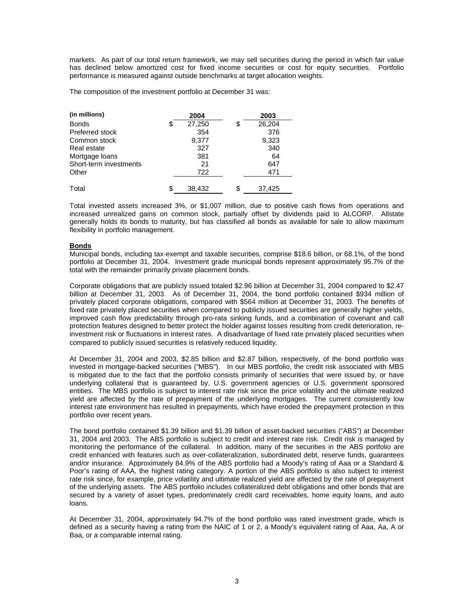markets. As part of our total return framework, we may sell securities during the period in which fair value has declined below amortized cost for fixed income securities or cost for equity securities.Portfolio performance is measured against outside benchmarks at target allocation weights.

The composition of the investment portfolio at December 31 was:

| (in millions)          | 2004         | 2003         |
|------------------------|--------------|--------------|
| <b>Bonds</b>           | \$<br>27,250 | \$<br>26,204 |
| Preferred stock        | 354          | 376          |
| Common stock           | 9,377        | 9,323        |
| Real estate            | 327          | 340          |
| Mortgage loans         | 381          | 64           |
| Short-term investments | 21           | 647          |
| Other                  | 722          | 471          |
| Total                  | \$<br>38,432 | \$<br>37,425 |

Total invested assets increased 3%, or \$1,007 million, due to positive cash flows from operations and increased unrealized gains on common stock, partially offset by dividends paid to ALCORP. Allstate generally holds its bonds to maturity, but has classified all bonds as available for sale to allow maximum flexibility in portfolio management.

# **Bonds**

Municipal bonds, including tax-exempt and taxable securities, comprise \$18.6 billion, or 68.1%, of the bond portfolio at December 31, 2004. Investment grade municipal bonds represent approximately 95.7% of the total with the remainder primarily private placement bonds.

Corporate obligations that are publicly issued totaled \$2.96 billion at December 31, 2004 compared to \$2.47 billion at December 31, 2003. As of December 31, 2004, the bond portfolio contained \$934 million of privately placed corporate obligations, compared with \$564 million at December 31, 2003. The benefits of fixed rate privately placed securities when compared to publicly issued securities are generally higher yields, improved cash flow predictability through pro-rata sinking funds, and a combination of covenant and call protection features designed to better protect the holder against losses resulting from credit deterioration, reinvestment risk or fluctuations in interest rates. A disadvantage of fixed rate privately placed securities when compared to publicly issued securities is relatively reduced liquidity.

At December 31, 2004 and 2003, \$2.85 billion and \$2.87 billion, respectively, of the bond portfolio was invested in mortgage-backed securities ("MBS"). In our MBS portfolio, the credit risk associated with MBS is mitigated due to the fact that the portfolio consists primarily of securities that were issued by, or have underlying collateral that is guaranteed by, U.S. government agencies or U.S. government sponsored entities. The MBS portfolio is subject to interest rate risk since the price volatility and the ultimate realized yield are affected by the rate of prepayment of the underlying mortgages. The current consistently low interest rate environment has resulted in prepayments, which have eroded the prepayment protection in this portfolio over recent years.

The bond portfolio contained \$1.39 billion and \$1.39 billion of asset-backed securities ("ABS") at December 31, 2004 and 2003. The ABS portfolio is subject to credit and interest rate risk. Credit risk is managed by monitoring the performance of the collateral. In addition, many of the securities in the ABS portfolio are credit enhanced with features such as over-collateralization, subordinated debt, reserve funds, guarantees and/or insurance. Approximately 84.9% of the ABS portfolio had a Moody's rating of Aaa or a Standard & Poor's rating of AAA, the highest rating category. A portion of the ABS portfolio is also subject to interest rate risk since, for example, price volatility and ultimate realized yield are affected by the rate of prepayment of the underlying assets. The ABS portfolio includes collateralized debt obligations and other bonds that are secured by a variety of asset types, predominately credit card receivables, home equity loans, and auto loans.

At December 31, 2004, approximately 94.7% of the bond portfolio was rated investment grade, which is defined as a security having a rating from the NAIC of 1 or 2, a Moody's equivalent rating of Aaa, Aa, A or Baa, or a comparable internal rating.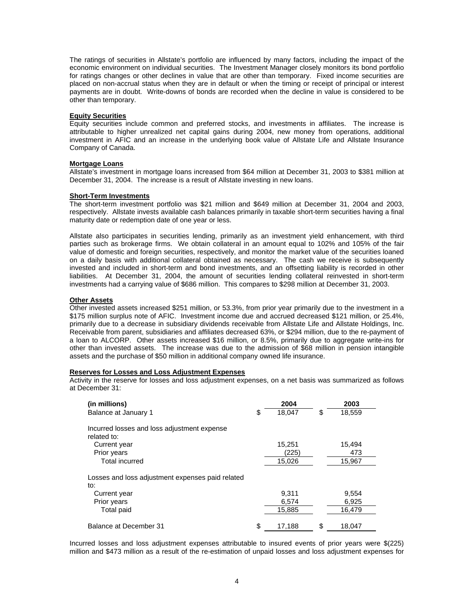The ratings of securities in Allstate's portfolio are influenced by many factors, including the impact of the economic environment on individual securities. The Investment Manager closely monitors its bond portfolio for ratings changes or other declines in value that are other than temporary. Fixed income securities are placed on non-accrual status when they are in default or when the timing or receipt of principal or interest payments are in doubt. Write-downs of bonds are recorded when the decline in value is considered to be other than temporary.

### **Equity Securities**

Equity securities include common and preferred stocks, and investments in affiliates. The increase is attributable to higher unrealized net capital gains during 2004, new money from operations, additional investment in AFIC and an increase in the underlying book value of Allstate Life and Allstate Insurance Company of Canada.

#### **Mortgage Loans**

Allstate's investment in mortgage loans increased from \$64 million at December 31, 2003 to \$381 million at December 31, 2004. The increase is a result of Allstate investing in new loans.

#### **Short-Term Investments**

The short-term investment portfolio was \$21 million and \$649 million at December 31, 2004 and 2003, respectively. Allstate invests available cash balances primarily in taxable short-term securities having a final maturity date or redemption date of one year or less.

Allstate also participates in securities lending, primarily as an investment yield enhancement, with third parties such as brokerage firms. We obtain collateral in an amount equal to 102% and 105% of the fair value of domestic and foreign securities, respectively, and monitor the market value of the securities loaned on a daily basis with additional collateral obtained as necessary. The cash we receive is subsequently invested and included in short-term and bond investments, and an offsetting liability is recorded in other liabilities. At December 31, 2004, the amount of securities lending collateral reinvested in short-term investments had a carrying value of \$686 million. This compares to \$298 million at December 31, 2003.

#### **Other Assets**

Other invested assets increased \$251 million, or 53.3%, from prior year primarily due to the investment in a \$175 million surplus note of AFIC. Investment income due and accrued decreased \$121 million, or 25.4%, primarily due to a decrease in subsidiary dividends receivable from Allstate Life and Allstate Holdings, Inc. Receivable from parent, subsidiaries and affiliates decreased 63%, or \$294 million, due to the re-payment of a loan to ALCORP. Other assets increased \$16 million, or 8.5%, primarily due to aggregate write-ins for other than invested assets. The increase was due to the admission of \$68 million in pension intangible assets and the purchase of \$50 million in additional company owned life insurance.

### **Reserves for Losses and Loss Adjustment Expenses**

Activity in the reserve for losses and loss adjustment expenses, on a net basis was summarized as follows at December 31:

| (in millions)                                              | 2004         | 2003         |
|------------------------------------------------------------|--------------|--------------|
| Balance at January 1                                       | \$<br>18.047 | \$<br>18,559 |
| Incurred losses and loss adjustment expense<br>related to: |              |              |
| Current year                                               | 15,251       | 15,494       |
| Prior years                                                | (225)        | 473          |
| <b>Total incurred</b>                                      | 15,026       | 15,967       |
| Losses and loss adjustment expenses paid related<br>to:    |              |              |
| Current year                                               | 9,311        | 9,554        |
| Prior years                                                | 6,574        | 6,925        |
| Total paid                                                 | 15,885       | 16,479       |
| Balance at December 31                                     | \$<br>17,188 | \$<br>18,047 |

Incurred losses and loss adjustment expenses attributable to insured events of prior years were \$(225) million and \$473 million as a result of the re-estimation of unpaid losses and loss adjustment expenses for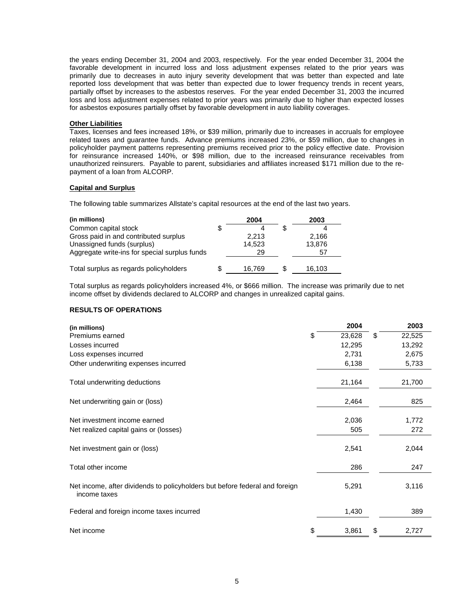the years ending December 31, 2004 and 2003, respectively. For the year ended December 31, 2004 the favorable development in incurred loss and loss adjustment expenses related to the prior years was primarily due to decreases in auto injury severity development that was better than expected and late reported loss development that was better than expected due to lower frequency trends in recent years, partially offset by increases to the asbestos reserves. For the year ended December 31, 2003 the incurred loss and loss adjustment expenses related to prior years was primarily due to higher than expected losses for asbestos exposures partially offset by favorable development in auto liability coverages.

# **Other Liabilities**

Taxes, licenses and fees increased 18%, or \$39 million, primarily due to increases in accruals for employee related taxes and guarantee funds. Advance premiums increased 23%, or \$59 million, due to changes in policyholder payment patterns representing premiums received prior to the policy effective date. Provision for reinsurance increased 140%, or \$98 million, due to the increased reinsurance receivables from unauthorized reinsurers. Payable to parent, subsidiaries and affiliates increased \$171 million due to the repayment of a loan from ALCORP.

#### **Capital and Surplus**

The following table summarizes Allstate's capital resources at the end of the last two years.

| 2004   | 2003   |
|--------|--------|
|        |        |
| 2.213  | 2,166  |
| 14.523 | 13,876 |
| 29     | 57     |
|        |        |
| 16.769 | 16,103 |
|        |        |

Total surplus as regards policyholders increased 4%, or \$666 million. The increase was primarily due to net income offset by dividends declared to ALCORP and changes in unrealized capital gains.

# **RESULTS OF OPERATIONS**

| (in millions)                                                                               | 2004         | 2003         |
|---------------------------------------------------------------------------------------------|--------------|--------------|
| Premiums earned                                                                             | \$<br>23,628 | \$<br>22,525 |
| Losses incurred                                                                             | 12,295       | 13,292       |
| Loss expenses incurred                                                                      | 2,731        | 2,675        |
| Other underwriting expenses incurred                                                        | 6,138        | 5,733        |
| Total underwriting deductions                                                               | 21,164       | 21,700       |
| Net underwriting gain or (loss)                                                             | 2,464        | 825          |
| Net investment income earned                                                                | 2,036        | 1,772        |
| Net realized capital gains or (losses)                                                      | 505          | 272          |
| Net investment gain or (loss)                                                               | 2,541        | 2,044        |
| Total other income                                                                          | 286          | 247          |
| Net income, after dividends to policyholders but before federal and foreign<br>income taxes | 5,291        | 3,116        |
| Federal and foreign income taxes incurred                                                   | 1,430        | 389          |
| Net income                                                                                  | \$<br>3,861  | \$<br>2,727  |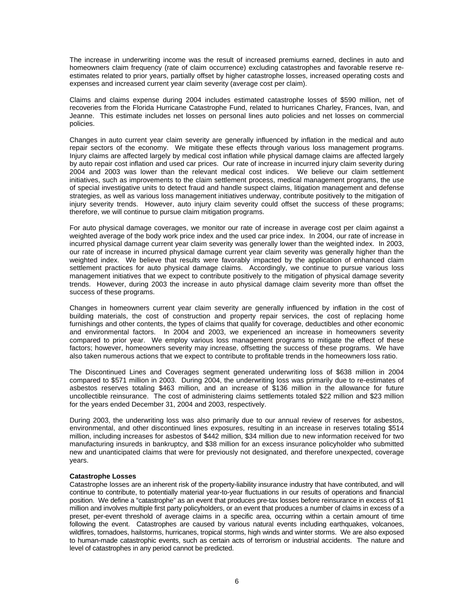The increase in underwriting income was the result of increased premiums earned, declines in auto and homeowners claim frequency (rate of claim occurrence) excluding catastrophes and favorable reserve reestimates related to prior years, partially offset by higher catastrophe losses, increased operating costs and expenses and increased current year claim severity (average cost per claim).

Claims and claims expense during 2004 includes estimated catastrophe losses of \$590 million, net of recoveries from the Florida Hurricane Catastrophe Fund, related to hurricanes Charley, Frances, Ivan, and Jeanne. This estimate includes net losses on personal lines auto policies and net losses on commercial policies.

Changes in auto current year claim severity are generally influenced by inflation in the medical and auto repair sectors of the economy. We mitigate these effects through various loss management programs. Injury claims are affected largely by medical cost inflation while physical damage claims are affected largely by auto repair cost inflation and used car prices. Our rate of increase in incurred injury claim severity during 2004 and 2003 was lower than the relevant medical cost indices. We believe our claim settlement initiatives, such as improvements to the claim settlement process, medical management programs, the use of special investigative units to detect fraud and handle suspect claims, litigation management and defense strategies, as well as various loss management initiatives underway, contribute positively to the mitigation of injury severity trends. However, auto injury claim severity could offset the success of these programs; therefore, we will continue to pursue claim mitigation programs.

For auto physical damage coverages, we monitor our rate of increase in average cost per claim against a weighted average of the body work price index and the used car price index. In 2004, our rate of increase in incurred physical damage current year claim severity was generally lower than the weighted index. In 2003, our rate of increase in incurred physical damage current year claim severity was generally higher than the weighted index. We believe that results were favorably impacted by the application of enhanced claim settlement practices for auto physical damage claims. Accordingly, we continue to pursue various loss management initiatives that we expect to contribute positively to the mitigation of physical damage severity trends. However, during 2003 the increase in auto physical damage claim severity more than offset the success of these programs.

Changes in homeowners current year claim severity are generally influenced by inflation in the cost of building materials, the cost of construction and property repair services, the cost of replacing home furnishings and other contents, the types of claims that qualify for coverage, deductibles and other economic and environmental factors. In 2004 and 2003, we experienced an increase in homeowners severity compared to prior year. We employ various loss management programs to mitigate the effect of these factors; however, homeowners severity may increase, offsetting the success of these programs. We have also taken numerous actions that we expect to contribute to profitable trends in the homeowners loss ratio.

The Discontinued Lines and Coverages segment generated underwriting loss of \$638 million in 2004 compared to \$571 million in 2003. During 2004, the underwriting loss was primarily due to re-estimates of asbestos reserves totaling \$463 million, and an increase of \$136 million in the allowance for future uncollectible reinsurance. The cost of administering claims settlements totaled \$22 million and \$23 million for the years ended December 31, 2004 and 2003, respectively.

During 2003, the underwriting loss was also primarily due to our annual review of reserves for asbestos, environmental, and other discontinued lines exposures, resulting in an increase in reserves totaling \$514 million, including increases for asbestos of \$442 million, \$34 million due to new information received for two manufacturing insureds in bankruptcy, and \$38 million for an excess insurance policyholder who submitted new and unanticipated claims that were for previously not designated, and therefore unexpected, coverage years.

# **Catastrophe Losses**

Catastrophe losses are an inherent risk of the property-liability insurance industry that have contributed, and will continue to contribute, to potentially material year-to-year fluctuations in our results of operations and financial position. We define a "catastrophe" as an event that produces pre-tax losses before reinsurance in excess of \$1 million and involves multiple first party policyholders, or an event that produces a number of claims in excess of a preset, per-event threshold of average claims in a specific area, occurring within a certain amount of time following the event. Catastrophes are caused by various natural events including earthquakes, volcanoes, wildfires, tornadoes, hailstorms, hurricanes, tropical storms, high winds and winter storms. We are also exposed to human-made catastrophic events, such as certain acts of terrorism or industrial accidents. The nature and level of catastrophes in any period cannot be predicted.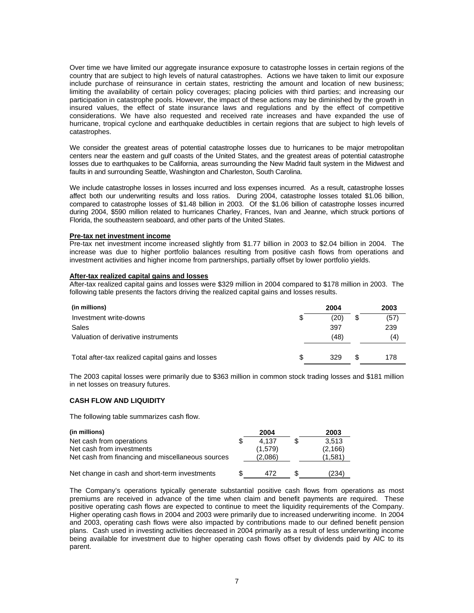Over time we have limited our aggregate insurance exposure to catastrophe losses in certain regions of the country that are subject to high levels of natural catastrophes. Actions we have taken to limit our exposure include purchase of reinsurance in certain states, restricting the amount and location of new business; limiting the availability of certain policy coverages; placing policies with third parties; and increasing our participation in catastrophe pools. However, the impact of these actions may be diminished by the growth in insured values, the effect of state insurance laws and regulations and by the effect of competitive considerations. We have also requested and received rate increases and have expanded the use of hurricane, tropical cyclone and earthquake deductibles in certain regions that are subject to high levels of catastrophes.

We consider the greatest areas of potential catastrophe losses due to hurricanes to be major metropolitan centers near the eastern and gulf coasts of the United States, and the greatest areas of potential catastrophe losses due to earthquakes to be California, areas surrounding the New Madrid fault system in the Midwest and faults in and surrounding Seattle, Washington and Charleston, South Carolina.

We include catastrophe losses in losses incurred and loss expenses incurred. As a result, catastrophe losses affect both our underwriting results and loss ratios. During 2004, catastrophe losses totaled \$1.06 billion, compared to catastrophe losses of \$1.48 billion in 2003. Of the \$1.06 billion of catastrophe losses incurred during 2004, \$590 million related to hurricanes Charley, Frances, Ivan and Jeanne, which struck portions of Florida, the southeastern seaboard, and other parts of the United States.

#### **Pre-tax net investment income**

Pre-tax net investment income increased slightly from \$1.77 billion in 2003 to \$2.04 billion in 2004. The increase was due to higher portfolio balances resulting from positive cash flows from operations and investment activities and higher income from partnerships, partially offset by lower portfolio yields.

### **After-tax realized capital gains and losses**

After-tax realized capital gains and losses were \$329 million in 2004 compared to \$178 million in 2003. The following table presents the factors driving the realized capital gains and losses results.

| (in millions)                                     |    | 2004 |    | 2003 |
|---------------------------------------------------|----|------|----|------|
| Investment write-downs                            | S  | (20) | \$ | (57) |
| Sales                                             |    | 397  |    | 239  |
| Valuation of derivative instruments               |    | (48) |    | (4)  |
|                                                   |    |      |    |      |
| Total after-tax realized capital gains and losses | £. | 329  | S  | 178  |

The 2003 capital losses were primarily due to \$363 million in common stock trading losses and \$181 million in net losses on treasury futures.

# **CASH FLOW AND LIQUIDITY**

The following table summarizes cash flow.

| (in millions)                                     | 2004    | 2003     |
|---------------------------------------------------|---------|----------|
| Net cash from operations                          | 4.137   | 3.513    |
| Net cash from investments                         | (1,579) | (2, 166) |
| Net cash from financing and miscellaneous sources | (2,086) | (1.581   |
|                                                   |         |          |
| Net change in cash and short-term investments     | 472     | (234)    |

The Company's operations typically generate substantial positive cash flows from operations as most premiums are received in advance of the time when claim and benefit payments are required. These positive operating cash flows are expected to continue to meet the liquidity requirements of the Company. Higher operating cash flows in 2004 and 2003 were primarily due to increased underwriting income. In 2004 and 2003, operating cash flows were also impacted by contributions made to our defined benefit pension plans. Cash used in investing activities decreased in 2004 primarily as a result of less underwriting income being available for investment due to higher operating cash flows offset by dividends paid by AIC to its parent.